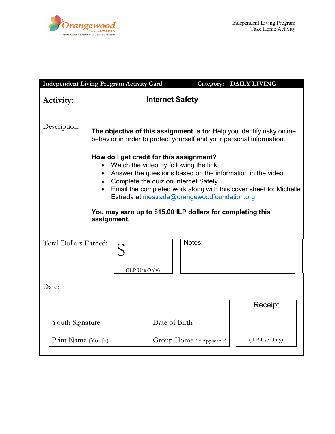

|                                                                                                                                                                                                                                                                                                                                                                                              | <b>Independent Living Program Activity Card</b>                                                                                                |                            | Category: DAILY LIVING |  |
|----------------------------------------------------------------------------------------------------------------------------------------------------------------------------------------------------------------------------------------------------------------------------------------------------------------------------------------------------------------------------------------------|------------------------------------------------------------------------------------------------------------------------------------------------|----------------------------|------------------------|--|
| Activity:                                                                                                                                                                                                                                                                                                                                                                                    |                                                                                                                                                | <b>Internet Safety</b>     |                        |  |
| Description:                                                                                                                                                                                                                                                                                                                                                                                 | The objective of this assignment is to: Help you identify risky online<br>behavior in order to protect yourself and your personal information. |                            |                        |  |
| How do I get credit for this assignment?<br>Watch the video by following the link.<br>Answer the questions based on the information in the video.<br>Complete the quiz on Internet Safety.<br>Email the completed work along with this cover sheet to: Michelle<br>Estrada at mestrada@orangewoodfoundation.org<br>You may earn up to \$15.00 ILP dollars for completing this<br>assignment. |                                                                                                                                                |                            |                        |  |
| Total Dollars Earned:                                                                                                                                                                                                                                                                                                                                                                        | (ILP Use Only)                                                                                                                                 | Notes:                     |                        |  |
| Date:                                                                                                                                                                                                                                                                                                                                                                                        |                                                                                                                                                |                            |                        |  |
| Youth Signature                                                                                                                                                                                                                                                                                                                                                                              |                                                                                                                                                | Date of Birth              | Receipt                |  |
| Print Name (Youth)                                                                                                                                                                                                                                                                                                                                                                           |                                                                                                                                                | Group Home (If Applicable) | (ILP Use Only)         |  |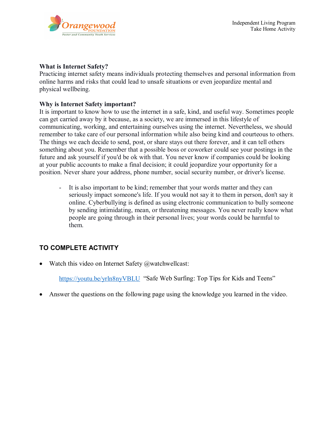

## **What is Internet Safety?**

Practicing internet safety means individuals protecting themselves and personal information from online harms and risks that could lead to unsafe situations or even jeopardize mental and physical wellbeing.

## **Why is Internet Safety important?**

It is important to know how to use the internet in a safe, kind, and useful way. Sometimes people can get carried away by it because, as a society, we are immersed in this lifestyle of communicating, working, and entertaining ourselves using the internet. Nevertheless, we should remember to take care of our personal information while also being kind and courteous to others. The things we each decide to send, post, or share stays out there forever, and it can tell others something about you. Remember that a possible boss or coworker could see your postings in the future and ask yourself if you'd be ok with that. You never know if companies could be looking at your public accounts to make a final decision; it could jeopardize your opportunity for a position. Never share your address, phone number, social security number, or driver's license.

- It is also important to be kind; remember that your words matter and they can seriously impact someone's life. If you would not say it to them in person, don't say it online. Cyberbullying is defined as using electronic communication to bully someone by sending intimidating, mean, or threatening messages. You never really know what people are going through in their personal lives; your words could be harmful to them.

## **TO COMPLETE ACTIVITY**

• Watch this video on Internet Safety  $@$  watchwellcast:

<https://youtu.be/yrln8nyVBLU>"Safe Web Surfing: Top Tips for Kids and Teens"

• Answer the questions on the following page using the knowledge you learned in the video.